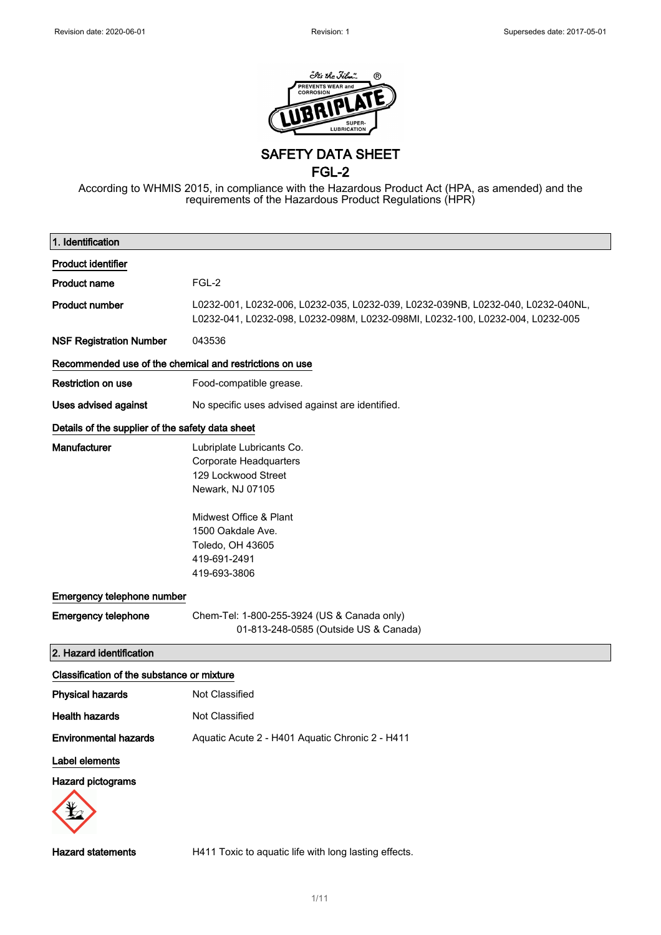

SAFETY DATA SHEET

FGL-2

According to WHMIS 2015, in compliance with the Hazardous Product Act (HPA, as amended) and the requirements of the Hazardous Product Regulations (HPR)

| 1. Identification                                       |                                                                                                                                                                    |  |
|---------------------------------------------------------|--------------------------------------------------------------------------------------------------------------------------------------------------------------------|--|
| <b>Product identifier</b>                               |                                                                                                                                                                    |  |
| <b>Product name</b>                                     | FGL-2                                                                                                                                                              |  |
| <b>Product number</b>                                   | L0232-001, L0232-006, L0232-035, L0232-039, L0232-039NB, L0232-040, L0232-040NL,<br>L0232-041, L0232-098, L0232-098M, L0232-098MI, L0232-100, L0232-004, L0232-005 |  |
| <b>NSF Registration Number</b>                          | 043536                                                                                                                                                             |  |
| Recommended use of the chemical and restrictions on use |                                                                                                                                                                    |  |
| <b>Restriction on use</b>                               | Food-compatible grease.                                                                                                                                            |  |
| Uses advised against                                    | No specific uses advised against are identified.                                                                                                                   |  |
| Details of the supplier of the safety data sheet        |                                                                                                                                                                    |  |
| Manufacturer                                            | Lubriplate Lubricants Co.<br><b>Corporate Headquarters</b><br>129 Lockwood Street<br>Newark, NJ 07105                                                              |  |
|                                                         | Midwest Office & Plant<br>1500 Oakdale Ave.<br>Toledo, OH 43605<br>419-691-2491<br>419-693-3806                                                                    |  |
| Emergency telephone number                              |                                                                                                                                                                    |  |
| <b>Emergency telephone</b>                              | Chem-Tel: 1-800-255-3924 (US & Canada only)<br>01-813-248-0585 (Outside US & Canada)                                                                               |  |
| 2. Hazard identification                                |                                                                                                                                                                    |  |
| Classification of the substance or mixture              |                                                                                                                                                                    |  |
| <b>Physical hazards</b>                                 | Not Classified                                                                                                                                                     |  |
| <b>Health hazards</b>                                   | Not Classified                                                                                                                                                     |  |
| <b>Environmental hazards</b>                            | Aquatic Acute 2 - H401 Aquatic Chronic 2 - H411                                                                                                                    |  |
| Label elements                                          |                                                                                                                                                                    |  |
| Hazard pictograms                                       |                                                                                                                                                                    |  |
| <b>Hazard statements</b>                                | H411 Toxic to aquatic life with long lasting effects.                                                                                                              |  |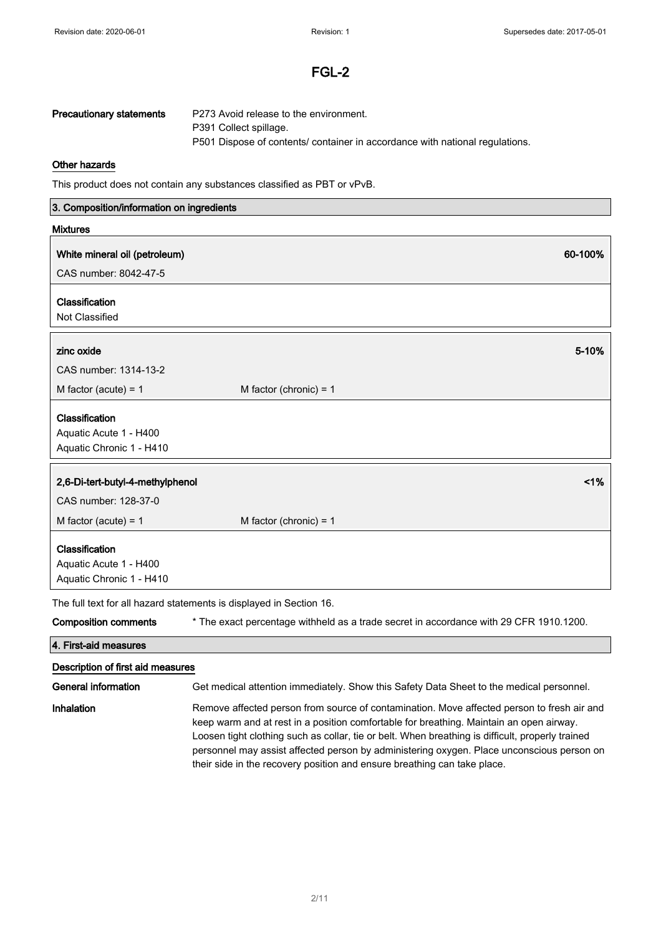| Precautionary statements | P273 Avoid release to the environment.                                       |
|--------------------------|------------------------------------------------------------------------------|
|                          | P391 Collect spillage.                                                       |
|                          | P501 Dispose of contents/ container in accordance with national regulations. |

### Other hazards

This product does not contain any substances classified as PBT or vPvB.

| 3. Composition/information on ingredients |                                                                                                                                                                                                                                                                                                                                                                                                                                                                    |  |
|-------------------------------------------|--------------------------------------------------------------------------------------------------------------------------------------------------------------------------------------------------------------------------------------------------------------------------------------------------------------------------------------------------------------------------------------------------------------------------------------------------------------------|--|
| <b>Mixtures</b>                           |                                                                                                                                                                                                                                                                                                                                                                                                                                                                    |  |
| White mineral oil (petroleum)             | 60-100%                                                                                                                                                                                                                                                                                                                                                                                                                                                            |  |
| CAS number: 8042-47-5                     |                                                                                                                                                                                                                                                                                                                                                                                                                                                                    |  |
|                                           |                                                                                                                                                                                                                                                                                                                                                                                                                                                                    |  |
| Classification<br>Not Classified          |                                                                                                                                                                                                                                                                                                                                                                                                                                                                    |  |
|                                           |                                                                                                                                                                                                                                                                                                                                                                                                                                                                    |  |
| zinc oxide                                | 5-10%                                                                                                                                                                                                                                                                                                                                                                                                                                                              |  |
| CAS number: 1314-13-2                     |                                                                                                                                                                                                                                                                                                                                                                                                                                                                    |  |
| M factor (acute) = $1$                    | M factor (chronic) = $1$                                                                                                                                                                                                                                                                                                                                                                                                                                           |  |
| Classification                            |                                                                                                                                                                                                                                                                                                                                                                                                                                                                    |  |
| Aquatic Acute 1 - H400                    |                                                                                                                                                                                                                                                                                                                                                                                                                                                                    |  |
| Aquatic Chronic 1 - H410                  |                                                                                                                                                                                                                                                                                                                                                                                                                                                                    |  |
|                                           |                                                                                                                                                                                                                                                                                                                                                                                                                                                                    |  |
| 2,6-Di-tert-butyl-4-methylphenol          | 1%                                                                                                                                                                                                                                                                                                                                                                                                                                                                 |  |
| CAS number: 128-37-0                      |                                                                                                                                                                                                                                                                                                                                                                                                                                                                    |  |
| M factor (acute) = $1$                    | M factor (chronic) = $1$                                                                                                                                                                                                                                                                                                                                                                                                                                           |  |
| Classification                            |                                                                                                                                                                                                                                                                                                                                                                                                                                                                    |  |
| Aquatic Acute 1 - H400                    |                                                                                                                                                                                                                                                                                                                                                                                                                                                                    |  |
| Aquatic Chronic 1 - H410                  |                                                                                                                                                                                                                                                                                                                                                                                                                                                                    |  |
|                                           | The full text for all hazard statements is displayed in Section 16.                                                                                                                                                                                                                                                                                                                                                                                                |  |
| <b>Composition comments</b>               | * The exact percentage withheld as a trade secret in accordance with 29 CFR 1910.1200.                                                                                                                                                                                                                                                                                                                                                                             |  |
| 4. First-aid measures                     |                                                                                                                                                                                                                                                                                                                                                                                                                                                                    |  |
| Description of first aid measures         |                                                                                                                                                                                                                                                                                                                                                                                                                                                                    |  |
| <b>General information</b>                | Get medical attention immediately. Show this Safety Data Sheet to the medical personnel.                                                                                                                                                                                                                                                                                                                                                                           |  |
| Inhalation                                | Remove affected person from source of contamination. Move affected person to fresh air and<br>keep warm and at rest in a position comfortable for breathing. Maintain an open airway.<br>Loosen tight clothing such as collar, tie or belt. When breathing is difficult, properly trained<br>personnel may assist affected person by administering oxygen. Place unconscious person on<br>their side in the recovery position and ensure breathing can take place. |  |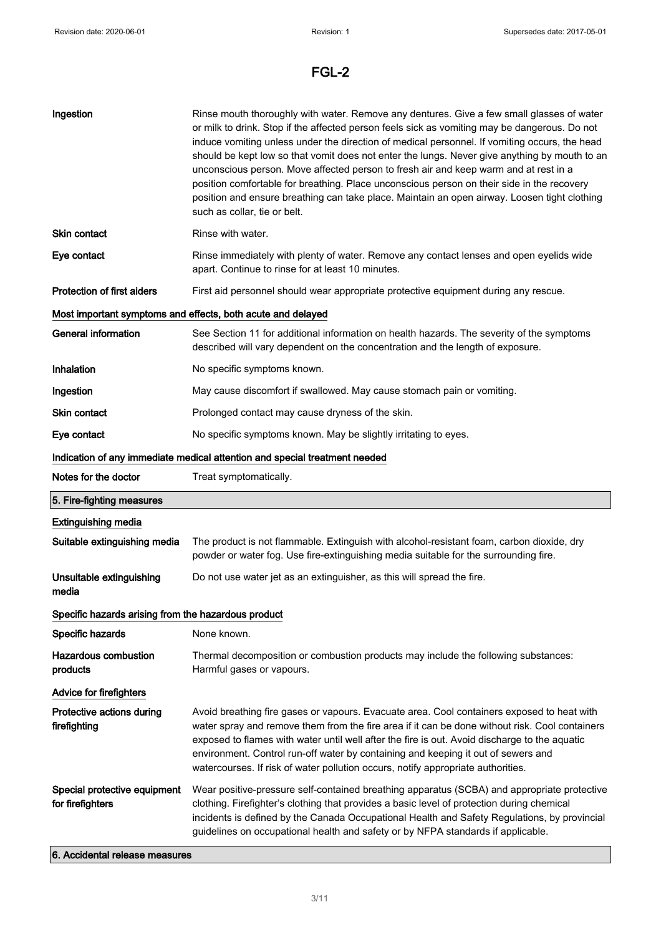| Ingestion                                           | Rinse mouth thoroughly with water. Remove any dentures. Give a few small glasses of water<br>or milk to drink. Stop if the affected person feels sick as vomiting may be dangerous. Do not<br>induce vomiting unless under the direction of medical personnel. If vomiting occurs, the head<br>should be kept low so that vomit does not enter the lungs. Never give anything by mouth to an<br>unconscious person. Move affected person to fresh air and keep warm and at rest in a<br>position comfortable for breathing. Place unconscious person on their side in the recovery<br>position and ensure breathing can take place. Maintain an open airway. Loosen tight clothing<br>such as collar, tie or belt. |  |
|-----------------------------------------------------|--------------------------------------------------------------------------------------------------------------------------------------------------------------------------------------------------------------------------------------------------------------------------------------------------------------------------------------------------------------------------------------------------------------------------------------------------------------------------------------------------------------------------------------------------------------------------------------------------------------------------------------------------------------------------------------------------------------------|--|
| <b>Skin contact</b>                                 | Rinse with water.                                                                                                                                                                                                                                                                                                                                                                                                                                                                                                                                                                                                                                                                                                  |  |
| Eye contact                                         | Rinse immediately with plenty of water. Remove any contact lenses and open eyelids wide<br>apart. Continue to rinse for at least 10 minutes.                                                                                                                                                                                                                                                                                                                                                                                                                                                                                                                                                                       |  |
| Protection of first aiders                          | First aid personnel should wear appropriate protective equipment during any rescue.                                                                                                                                                                                                                                                                                                                                                                                                                                                                                                                                                                                                                                |  |
|                                                     | Most important symptoms and effects, both acute and delayed                                                                                                                                                                                                                                                                                                                                                                                                                                                                                                                                                                                                                                                        |  |
| <b>General information</b>                          | See Section 11 for additional information on health hazards. The severity of the symptoms<br>described will vary dependent on the concentration and the length of exposure.                                                                                                                                                                                                                                                                                                                                                                                                                                                                                                                                        |  |
| Inhalation                                          | No specific symptoms known.                                                                                                                                                                                                                                                                                                                                                                                                                                                                                                                                                                                                                                                                                        |  |
| Ingestion                                           | May cause discomfort if swallowed. May cause stomach pain or vomiting.                                                                                                                                                                                                                                                                                                                                                                                                                                                                                                                                                                                                                                             |  |
| Skin contact                                        | Prolonged contact may cause dryness of the skin.                                                                                                                                                                                                                                                                                                                                                                                                                                                                                                                                                                                                                                                                   |  |
| Eye contact                                         | No specific symptoms known. May be slightly irritating to eyes.                                                                                                                                                                                                                                                                                                                                                                                                                                                                                                                                                                                                                                                    |  |
|                                                     | Indication of any immediate medical attention and special treatment needed                                                                                                                                                                                                                                                                                                                                                                                                                                                                                                                                                                                                                                         |  |
| Notes for the doctor                                | Treat symptomatically.                                                                                                                                                                                                                                                                                                                                                                                                                                                                                                                                                                                                                                                                                             |  |
| 5. Fire-fighting measures                           |                                                                                                                                                                                                                                                                                                                                                                                                                                                                                                                                                                                                                                                                                                                    |  |
| <b>Extinguishing media</b>                          |                                                                                                                                                                                                                                                                                                                                                                                                                                                                                                                                                                                                                                                                                                                    |  |
| Suitable extinguishing media                        | The product is not flammable. Extinguish with alcohol-resistant foam, carbon dioxide, dry<br>powder or water fog. Use fire-extinguishing media suitable for the surrounding fire.                                                                                                                                                                                                                                                                                                                                                                                                                                                                                                                                  |  |
| Unsuitable extinguishing<br>media                   | Do not use water jet as an extinguisher, as this will spread the fire.                                                                                                                                                                                                                                                                                                                                                                                                                                                                                                                                                                                                                                             |  |
| Specific hazards arising from the hazardous product |                                                                                                                                                                                                                                                                                                                                                                                                                                                                                                                                                                                                                                                                                                                    |  |
| Specific hazards                                    | None known.                                                                                                                                                                                                                                                                                                                                                                                                                                                                                                                                                                                                                                                                                                        |  |
|                                                     |                                                                                                                                                                                                                                                                                                                                                                                                                                                                                                                                                                                                                                                                                                                    |  |
| <b>Hazardous combustion</b><br>products             | Thermal decomposition or combustion products may include the following substances:<br>Harmful gases or vapours.                                                                                                                                                                                                                                                                                                                                                                                                                                                                                                                                                                                                    |  |
| Advice for firefighters                             |                                                                                                                                                                                                                                                                                                                                                                                                                                                                                                                                                                                                                                                                                                                    |  |
| Protective actions during<br>firefighting           | Avoid breathing fire gases or vapours. Evacuate area. Cool containers exposed to heat with<br>water spray and remove them from the fire area if it can be done without risk. Cool containers<br>exposed to flames with water until well after the fire is out. Avoid discharge to the aquatic<br>environment. Control run-off water by containing and keeping it out of sewers and<br>watercourses. If risk of water pollution occurs, notify appropriate authorities.                                                                                                                                                                                                                                             |  |

6. Accidental release measures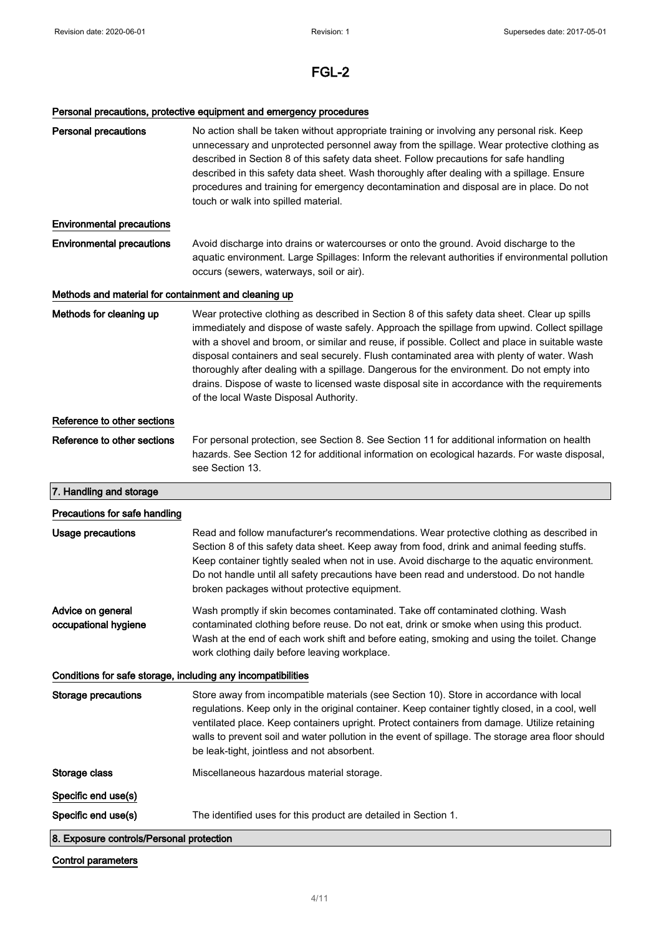## Personal precautions, protective equipment and emergency procedures

| 8. Exposure controls/Personal protection                             |                                                                                                                                                                                                                                                                                                                                                                                                                                                                                                                                                                                                                                       |  |
|----------------------------------------------------------------------|---------------------------------------------------------------------------------------------------------------------------------------------------------------------------------------------------------------------------------------------------------------------------------------------------------------------------------------------------------------------------------------------------------------------------------------------------------------------------------------------------------------------------------------------------------------------------------------------------------------------------------------|--|
| Specific end use(s)<br>Specific end use(s)                           | The identified uses for this product are detailed in Section 1.                                                                                                                                                                                                                                                                                                                                                                                                                                                                                                                                                                       |  |
|                                                                      |                                                                                                                                                                                                                                                                                                                                                                                                                                                                                                                                                                                                                                       |  |
| Storage class                                                        | Miscellaneous hazardous material storage.                                                                                                                                                                                                                                                                                                                                                                                                                                                                                                                                                                                             |  |
| <b>Storage precautions</b>                                           | Store away from incompatible materials (see Section 10). Store in accordance with local<br>regulations. Keep only in the original container. Keep container tightly closed, in a cool, well<br>ventilated place. Keep containers upright. Protect containers from damage. Utilize retaining<br>walls to prevent soil and water pollution in the event of spillage. The storage area floor should<br>be leak-tight, jointless and not absorbent.                                                                                                                                                                                       |  |
| Conditions for safe storage, including any incompatibilities         |                                                                                                                                                                                                                                                                                                                                                                                                                                                                                                                                                                                                                                       |  |
| Advice on general<br>occupational hygiene                            | Wash promptly if skin becomes contaminated. Take off contaminated clothing. Wash<br>contaminated clothing before reuse. Do not eat, drink or smoke when using this product.<br>Wash at the end of each work shift and before eating, smoking and using the toilet. Change<br>work clothing daily before leaving workplace.                                                                                                                                                                                                                                                                                                            |  |
| Precautions for safe handling<br><b>Usage precautions</b>            | Read and follow manufacturer's recommendations. Wear protective clothing as described in<br>Section 8 of this safety data sheet. Keep away from food, drink and animal feeding stuffs.<br>Keep container tightly sealed when not in use. Avoid discharge to the aquatic environment.<br>Do not handle until all safety precautions have been read and understood. Do not handle<br>broken packages without protective equipment.                                                                                                                                                                                                      |  |
| 7. Handling and storage                                              |                                                                                                                                                                                                                                                                                                                                                                                                                                                                                                                                                                                                                                       |  |
| Reference to other sections                                          | For personal protection, see Section 8. See Section 11 for additional information on health<br>hazards. See Section 12 for additional information on ecological hazards. For waste disposal,<br>see Section 13.                                                                                                                                                                                                                                                                                                                                                                                                                       |  |
| Reference to other sections                                          |                                                                                                                                                                                                                                                                                                                                                                                                                                                                                                                                                                                                                                       |  |
| Methods for cleaning up                                              | Wear protective clothing as described in Section 8 of this safety data sheet. Clear up spills<br>immediately and dispose of waste safely. Approach the spillage from upwind. Collect spillage<br>with a shovel and broom, or similar and reuse, if possible. Collect and place in suitable waste<br>disposal containers and seal securely. Flush contaminated area with plenty of water. Wash<br>thoroughly after dealing with a spillage. Dangerous for the environment. Do not empty into<br>drains. Dispose of waste to licensed waste disposal site in accordance with the requirements<br>of the local Waste Disposal Authority. |  |
| Methods and material for containment and cleaning up                 |                                                                                                                                                                                                                                                                                                                                                                                                                                                                                                                                                                                                                                       |  |
| <b>Environmental precautions</b><br><b>Environmental precautions</b> | Avoid discharge into drains or watercourses or onto the ground. Avoid discharge to the<br>aquatic environment. Large Spillages: Inform the relevant authorities if environmental pollution<br>occurs (sewers, waterways, soil or air).                                                                                                                                                                                                                                                                                                                                                                                                |  |
|                                                                      | touch or walk into spilled material.                                                                                                                                                                                                                                                                                                                                                                                                                                                                                                                                                                                                  |  |
| <b>Personal precautions</b>                                          | No action shall be taken without appropriate training or involving any personal risk. Keep<br>unnecessary and unprotected personnel away from the spillage. Wear protective clothing as<br>described in Section 8 of this safety data sheet. Follow precautions for safe handling<br>described in this safety data sheet. Wash thoroughly after dealing with a spillage. Ensure<br>procedures and training for emergency decontamination and disposal are in place. Do not                                                                                                                                                            |  |

### Control parameters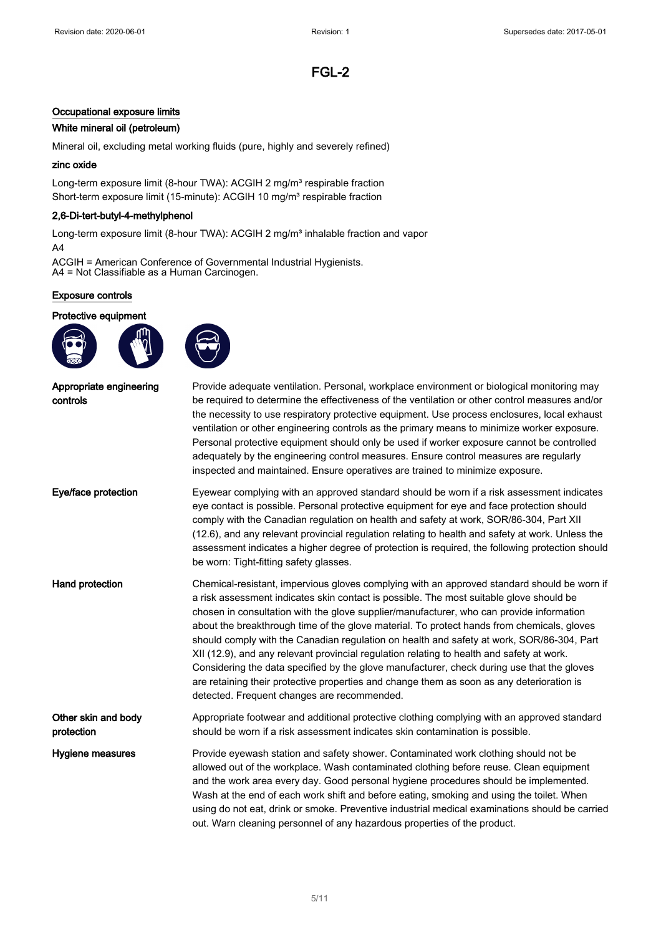#### Occupational exposure limits

#### White mineral oil (petroleum)

Mineral oil, excluding metal working fluids (pure, highly and severely refined)

#### zinc oxide

Long-term exposure limit (8-hour TWA): ACGIH 2 mg/m<sup>3</sup> respirable fraction Short-term exposure limit (15-minute): ACGIH 10 mg/m<sup>3</sup> respirable fraction

#### 2,6-Di-tert-butyl-4-methylphenol

Long-term exposure limit (8-hour TWA): ACGIH 2 mg/m<sup>3</sup> inhalable fraction and vapor A4

ACGIH = American Conference of Governmental Industrial Hygienists. A4 = Not Classifiable as a Human Carcinogen.

#### Exposure controls

#### Protective equipment





| Appropriate engineering<br>controls | Provide adequate ventilation. Personal, workplace environment or biological monitoring may<br>be required to determine the effectiveness of the ventilation or other control measures and/or<br>the necessity to use respiratory protective equipment. Use process enclosures, local exhaust<br>ventilation or other engineering controls as the primary means to minimize worker exposure.<br>Personal protective equipment should only be used if worker exposure cannot be controlled<br>adequately by the engineering control measures. Ensure control measures are regularly<br>inspected and maintained. Ensure operatives are trained to minimize exposure.                                                                                                                                                   |
|-------------------------------------|----------------------------------------------------------------------------------------------------------------------------------------------------------------------------------------------------------------------------------------------------------------------------------------------------------------------------------------------------------------------------------------------------------------------------------------------------------------------------------------------------------------------------------------------------------------------------------------------------------------------------------------------------------------------------------------------------------------------------------------------------------------------------------------------------------------------|
| Eye/face protection                 | Eyewear complying with an approved standard should be worn if a risk assessment indicates<br>eye contact is possible. Personal protective equipment for eye and face protection should<br>comply with the Canadian regulation on health and safety at work, SOR/86-304, Part XII<br>(12.6), and any relevant provincial regulation relating to health and safety at work. Unless the<br>assessment indicates a higher degree of protection is required, the following protection should<br>be worn: Tight-fitting safety glasses.                                                                                                                                                                                                                                                                                    |
| Hand protection                     | Chemical-resistant, impervious gloves complying with an approved standard should be worn if<br>a risk assessment indicates skin contact is possible. The most suitable glove should be<br>chosen in consultation with the glove supplier/manufacturer, who can provide information<br>about the breakthrough time of the glove material. To protect hands from chemicals, gloves<br>should comply with the Canadian regulation on health and safety at work, SOR/86-304, Part<br>XII (12.9), and any relevant provincial regulation relating to health and safety at work.<br>Considering the data specified by the glove manufacturer, check during use that the gloves<br>are retaining their protective properties and change them as soon as any deterioration is<br>detected. Frequent changes are recommended. |
| Other skin and body<br>protection   | Appropriate footwear and additional protective clothing complying with an approved standard<br>should be worn if a risk assessment indicates skin contamination is possible.                                                                                                                                                                                                                                                                                                                                                                                                                                                                                                                                                                                                                                         |
| Hygiene measures                    | Provide eyewash station and safety shower. Contaminated work clothing should not be<br>allowed out of the workplace. Wash contaminated clothing before reuse. Clean equipment<br>and the work area every day. Good personal hygiene procedures should be implemented.<br>Wash at the end of each work shift and before eating, smoking and using the toilet. When<br>using do not eat, drink or smoke. Preventive industrial medical examinations should be carried<br>out. Warn cleaning personnel of any hazardous properties of the product.                                                                                                                                                                                                                                                                      |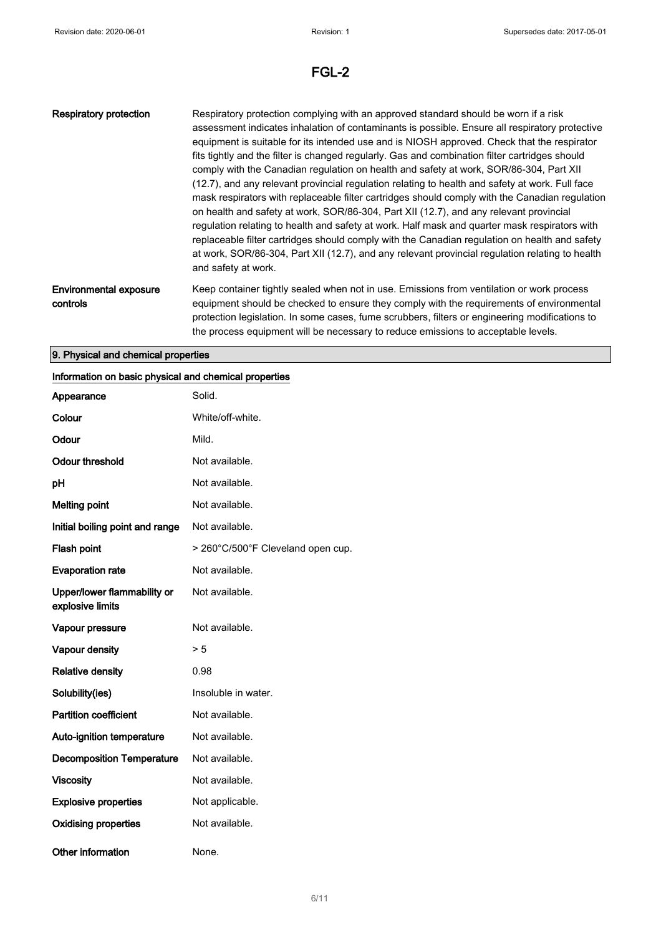| <b>Respiratory protection</b>             | Respiratory protection complying with an approved standard should be worn if a risk<br>assessment indicates inhalation of contaminants is possible. Ensure all respiratory protective<br>equipment is suitable for its intended use and is NIOSH approved. Check that the respirator<br>fits tightly and the filter is changed regularly. Gas and combination filter cartridges should<br>comply with the Canadian regulation on health and safety at work, SOR/86-304, Part XII<br>(12.7), and any relevant provincial regulation relating to health and safety at work. Full face<br>mask respirators with replaceable filter cartridges should comply with the Canadian regulation<br>on health and safety at work, SOR/86-304, Part XII (12.7), and any relevant provincial<br>regulation relating to health and safety at work. Half mask and guarter mask respirators with<br>replaceable filter cartridges should comply with the Canadian regulation on health and safety<br>at work, SOR/86-304, Part XII (12.7), and any relevant provincial regulation relating to health<br>and safety at work. |
|-------------------------------------------|-------------------------------------------------------------------------------------------------------------------------------------------------------------------------------------------------------------------------------------------------------------------------------------------------------------------------------------------------------------------------------------------------------------------------------------------------------------------------------------------------------------------------------------------------------------------------------------------------------------------------------------------------------------------------------------------------------------------------------------------------------------------------------------------------------------------------------------------------------------------------------------------------------------------------------------------------------------------------------------------------------------------------------------------------------------------------------------------------------------|
| <b>Environmental exposure</b><br>controls | Keep container tightly sealed when not in use. Emissions from ventilation or work process<br>equipment should be checked to ensure they comply with the requirements of environmental<br>protection legislation. In some cases, fume scrubbers, filters or engineering modifications to<br>the process equipment will be necessary to reduce emissions to acceptable levels.                                                                                                                                                                                                                                                                                                                                                                                                                                                                                                                                                                                                                                                                                                                                |

### 9. Physical and chemical properties

### Information on basic physical and chemical properties

| Appearance                                      | Solid.                            |
|-------------------------------------------------|-----------------------------------|
| Colour                                          | White/off-white.                  |
| Odour                                           | Mild.                             |
| <b>Odour threshold</b>                          | Not available.                    |
| рH                                              | Not available.                    |
| <b>Melting point</b>                            | Not available.                    |
| Initial boiling point and range                 | Not available.                    |
| Flash point                                     | > 260°C/500°F Cleveland open cup. |
| <b>Evaporation rate</b>                         | Not available.                    |
| Upper/lower flammability or<br>explosive limits | Not available.                    |
| Vapour pressure                                 | Not available.                    |
| Vapour density                                  | > 5                               |
| <b>Relative density</b>                         | 0.98                              |
| Solubility(ies)                                 | Insoluble in water.               |
| <b>Partition coefficient</b>                    | Not available.                    |
| Auto-ignition temperature                       | Not available.                    |
| <b>Decomposition Temperature</b>                | Not available.                    |
| <b>Viscosity</b>                                | Not available.                    |
| <b>Explosive properties</b>                     | Not applicable.                   |
| <b>Oxidising properties</b>                     | Not available.                    |
| <b>Other information</b>                        | None.                             |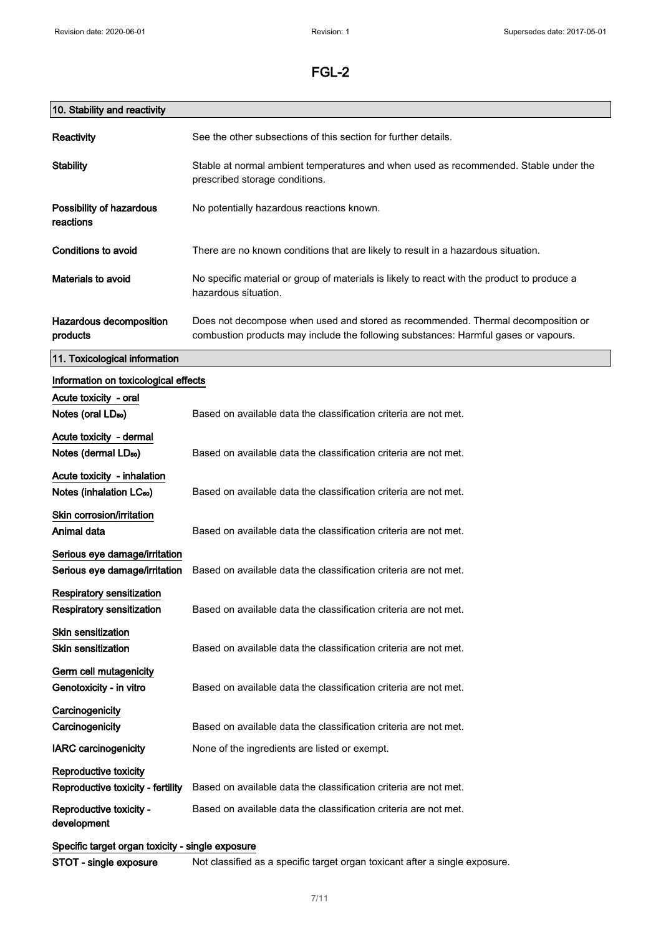# 10. Stability and reactivity

| Reactivity                                       | See the other subsections of this section for further details.                                                                                                          |  |
|--------------------------------------------------|-------------------------------------------------------------------------------------------------------------------------------------------------------------------------|--|
| <b>Stability</b>                                 | Stable at normal ambient temperatures and when used as recommended. Stable under the<br>prescribed storage conditions.                                                  |  |
| Possibility of hazardous<br>reactions            | No potentially hazardous reactions known.                                                                                                                               |  |
| Conditions to avoid                              | There are no known conditions that are likely to result in a hazardous situation.                                                                                       |  |
| <b>Materials to avoid</b>                        | No specific material or group of materials is likely to react with the product to produce a<br>hazardous situation.                                                     |  |
| Hazardous decomposition<br>products              | Does not decompose when used and stored as recommended. Thermal decomposition or<br>combustion products may include the following substances: Harmful gases or vapours. |  |
| 11. Toxicological information                    |                                                                                                                                                                         |  |
| Information on toxicological effects             |                                                                                                                                                                         |  |
| Acute toxicity - oral                            |                                                                                                                                                                         |  |
| Notes (oral LD <sub>50</sub> )                   | Based on available data the classification criteria are not met.                                                                                                        |  |
| Acute toxicity - dermal                          |                                                                                                                                                                         |  |
| Notes (dermal LD <sub>50</sub> )                 | Based on available data the classification criteria are not met.                                                                                                        |  |
| Acute toxicity - inhalation                      |                                                                                                                                                                         |  |
| Notes (inhalation LC <sub>50</sub> )             | Based on available data the classification criteria are not met.                                                                                                        |  |
| Skin corrosion/irritation                        |                                                                                                                                                                         |  |
| Animal data                                      | Based on available data the classification criteria are not met.                                                                                                        |  |
| Serious eye damage/irritation                    |                                                                                                                                                                         |  |
| Serious eye damage/irritation                    | Based on available data the classification criteria are not met.                                                                                                        |  |
| <b>Respiratory sensitization</b>                 |                                                                                                                                                                         |  |
| <b>Respiratory sensitization</b>                 | Based on available data the classification criteria are not met.                                                                                                        |  |
| <b>Skin sensitization</b>                        |                                                                                                                                                                         |  |
| <b>Skin sensitization</b>                        | Based on available data the classification criteria are not met.                                                                                                        |  |
| Germ cell mutagenicity                           |                                                                                                                                                                         |  |
| Genotoxicity - in vitro                          | Based on available data the classification criteria are not met.                                                                                                        |  |
| Carcinogenicity                                  |                                                                                                                                                                         |  |
| Carcinogenicity                                  | Based on available data the classification criteria are not met.                                                                                                        |  |
| <b>IARC carcinogenicity</b>                      | None of the ingredients are listed or exempt.                                                                                                                           |  |
| Reproductive toxicity                            |                                                                                                                                                                         |  |
| Reproductive toxicity - fertility                | Based on available data the classification criteria are not met.                                                                                                        |  |
| Reproductive toxicity -<br>development           | Based on available data the classification criteria are not met.                                                                                                        |  |
| Specific target organ toxicity - single exposure |                                                                                                                                                                         |  |

STOT - single exposure Not classified as a specific target organ toxicant after a single exposure.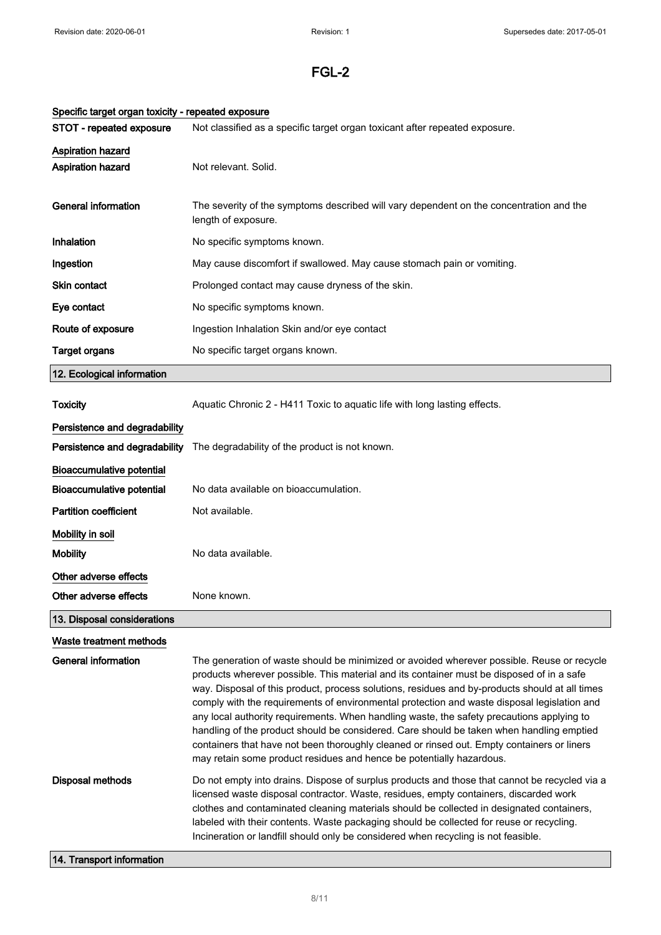| Specific target organ toxicity - repeated exposure |                                                                                                                                                                                                                                                                                                                                                                                                                                                                                                                                                                                                                                                                                                                                                         |  |
|----------------------------------------------------|---------------------------------------------------------------------------------------------------------------------------------------------------------------------------------------------------------------------------------------------------------------------------------------------------------------------------------------------------------------------------------------------------------------------------------------------------------------------------------------------------------------------------------------------------------------------------------------------------------------------------------------------------------------------------------------------------------------------------------------------------------|--|
| STOT - repeated exposure                           | Not classified as a specific target organ toxicant after repeated exposure.                                                                                                                                                                                                                                                                                                                                                                                                                                                                                                                                                                                                                                                                             |  |
| <b>Aspiration hazard</b>                           |                                                                                                                                                                                                                                                                                                                                                                                                                                                                                                                                                                                                                                                                                                                                                         |  |
| Aspiration hazard                                  | Not relevant. Solid.                                                                                                                                                                                                                                                                                                                                                                                                                                                                                                                                                                                                                                                                                                                                    |  |
| <b>General information</b>                         | The severity of the symptoms described will vary dependent on the concentration and the<br>length of exposure.                                                                                                                                                                                                                                                                                                                                                                                                                                                                                                                                                                                                                                          |  |
| <b>Inhalation</b>                                  | No specific symptoms known.                                                                                                                                                                                                                                                                                                                                                                                                                                                                                                                                                                                                                                                                                                                             |  |
| Ingestion                                          | May cause discomfort if swallowed. May cause stomach pain or vomiting.                                                                                                                                                                                                                                                                                                                                                                                                                                                                                                                                                                                                                                                                                  |  |
| Skin contact                                       | Prolonged contact may cause dryness of the skin.                                                                                                                                                                                                                                                                                                                                                                                                                                                                                                                                                                                                                                                                                                        |  |
| Eye contact                                        | No specific symptoms known.                                                                                                                                                                                                                                                                                                                                                                                                                                                                                                                                                                                                                                                                                                                             |  |
| Route of exposure                                  | Ingestion Inhalation Skin and/or eye contact                                                                                                                                                                                                                                                                                                                                                                                                                                                                                                                                                                                                                                                                                                            |  |
| <b>Target organs</b>                               | No specific target organs known.                                                                                                                                                                                                                                                                                                                                                                                                                                                                                                                                                                                                                                                                                                                        |  |
| 12. Ecological information                         |                                                                                                                                                                                                                                                                                                                                                                                                                                                                                                                                                                                                                                                                                                                                                         |  |
| <b>Toxicity</b>                                    | Aquatic Chronic 2 - H411 Toxic to aquatic life with long lasting effects.                                                                                                                                                                                                                                                                                                                                                                                                                                                                                                                                                                                                                                                                               |  |
| Persistence and degradability                      |                                                                                                                                                                                                                                                                                                                                                                                                                                                                                                                                                                                                                                                                                                                                                         |  |
| Persistence and degradability                      | The degradability of the product is not known.                                                                                                                                                                                                                                                                                                                                                                                                                                                                                                                                                                                                                                                                                                          |  |
| <b>Bioaccumulative potential</b>                   |                                                                                                                                                                                                                                                                                                                                                                                                                                                                                                                                                                                                                                                                                                                                                         |  |
| <b>Bioaccumulative potential</b>                   | No data available on bioaccumulation.                                                                                                                                                                                                                                                                                                                                                                                                                                                                                                                                                                                                                                                                                                                   |  |
| <b>Partition coefficient</b>                       | Not available.                                                                                                                                                                                                                                                                                                                                                                                                                                                                                                                                                                                                                                                                                                                                          |  |
| Mobility in soil                                   |                                                                                                                                                                                                                                                                                                                                                                                                                                                                                                                                                                                                                                                                                                                                                         |  |
| <b>Mobility</b>                                    | No data available.                                                                                                                                                                                                                                                                                                                                                                                                                                                                                                                                                                                                                                                                                                                                      |  |
| Other adverse effects                              |                                                                                                                                                                                                                                                                                                                                                                                                                                                                                                                                                                                                                                                                                                                                                         |  |
| Other adverse effects                              | None known.                                                                                                                                                                                                                                                                                                                                                                                                                                                                                                                                                                                                                                                                                                                                             |  |
| 13. Disposal considerations                        |                                                                                                                                                                                                                                                                                                                                                                                                                                                                                                                                                                                                                                                                                                                                                         |  |
| Waste treatment methods                            |                                                                                                                                                                                                                                                                                                                                                                                                                                                                                                                                                                                                                                                                                                                                                         |  |
| <b>General information</b>                         | The generation of waste should be minimized or avoided wherever possible. Reuse or recycle<br>products wherever possible. This material and its container must be disposed of in a safe<br>way. Disposal of this product, process solutions, residues and by-products should at all times<br>comply with the requirements of environmental protection and waste disposal legislation and<br>any local authority requirements. When handling waste, the safety precautions applying to<br>handling of the product should be considered. Care should be taken when handling emptied<br>containers that have not been thoroughly cleaned or rinsed out. Empty containers or liners<br>may retain some product residues and hence be potentially hazardous. |  |
| <b>Disposal methods</b>                            | Do not empty into drains. Dispose of surplus products and those that cannot be recycled via a<br>licensed waste disposal contractor. Waste, residues, empty containers, discarded work<br>clothes and contaminated cleaning materials should be collected in designated containers,<br>labeled with their contents. Waste packaging should be collected for reuse or recycling.<br>Incineration or landfill should only be considered when recycling is not feasible.                                                                                                                                                                                                                                                                                   |  |
| 14. Transport information                          |                                                                                                                                                                                                                                                                                                                                                                                                                                                                                                                                                                                                                                                                                                                                                         |  |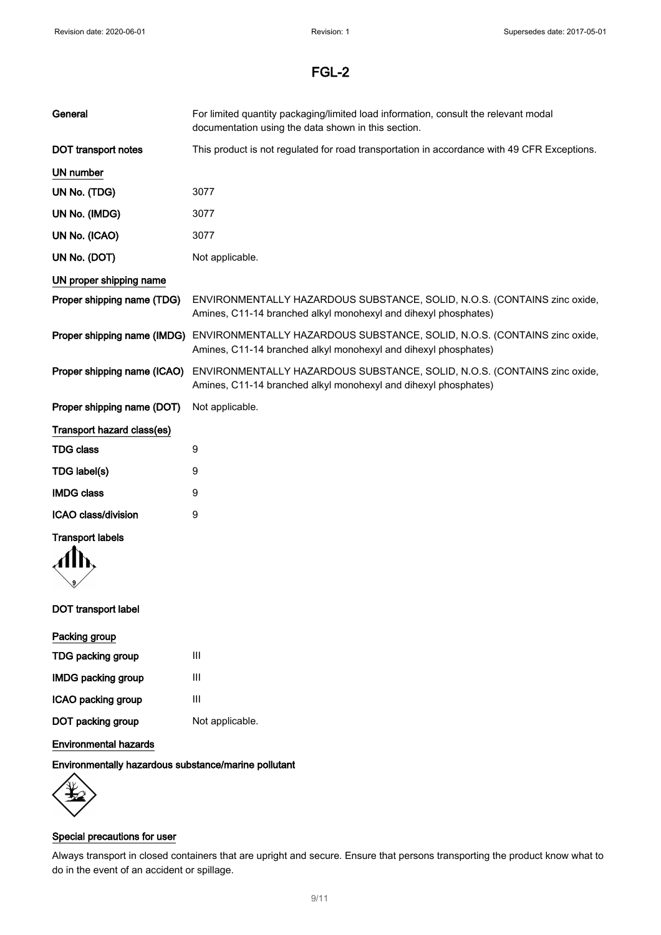| General                      | For limited quantity packaging/limited load information, consult the relevant modal<br>documentation using the data shown in this section.                              |  |
|------------------------------|-------------------------------------------------------------------------------------------------------------------------------------------------------------------------|--|
| DOT transport notes          | This product is not regulated for road transportation in accordance with 49 CFR Exceptions.                                                                             |  |
| UN number                    |                                                                                                                                                                         |  |
| UN No. (TDG)                 | 3077                                                                                                                                                                    |  |
| UN No. (IMDG)                | 3077                                                                                                                                                                    |  |
| UN No. (ICAO)                | 3077                                                                                                                                                                    |  |
| UN No. (DOT)                 | Not applicable.                                                                                                                                                         |  |
| UN proper shipping name      |                                                                                                                                                                         |  |
| Proper shipping name (TDG)   | ENVIRONMENTALLY HAZARDOUS SUBSTANCE, SOLID, N.O.S. (CONTAINS zinc oxide,<br>Amines, C11-14 branched alkyl monohexyl and dihexyl phosphates)                             |  |
|                              | Proper shipping name (IMDG) ENVIRONMENTALLY HAZARDOUS SUBSTANCE, SOLID, N.O.S. (CONTAINS zinc oxide,<br>Amines, C11-14 branched alkyl monohexyl and dihexyl phosphates) |  |
| Proper shipping name (ICAO)  | ENVIRONMENTALLY HAZARDOUS SUBSTANCE, SOLID, N.O.S. (CONTAINS zinc oxide,<br>Amines, C11-14 branched alkyl monohexyl and dihexyl phosphates)                             |  |
| Proper shipping name (DOT)   | Not applicable.                                                                                                                                                         |  |
| Transport hazard class(es)   |                                                                                                                                                                         |  |
| <b>TDG class</b>             | 9                                                                                                                                                                       |  |
| TDG label(s)                 | 9                                                                                                                                                                       |  |
| <b>IMDG class</b>            | 9                                                                                                                                                                       |  |
| ICAO class/division          | 9                                                                                                                                                                       |  |
| <b>Transport labels</b>      |                                                                                                                                                                         |  |
|                              |                                                                                                                                                                         |  |
| <b>DOT</b> transport label   |                                                                                                                                                                         |  |
| Packing group                |                                                                                                                                                                         |  |
| TDG packing group            | Ш                                                                                                                                                                       |  |
| <b>IMDG packing group</b>    | Ш                                                                                                                                                                       |  |
| ICAO packing group           | Ш                                                                                                                                                                       |  |
| DOT packing group            | Not applicable.                                                                                                                                                         |  |
| <b>Environmental hazards</b> |                                                                                                                                                                         |  |

Environmentally hazardous substance/marine pollutant



### Special precautions for user

Always transport in closed containers that are upright and secure. Ensure that persons transporting the product know what to do in the event of an accident or spillage.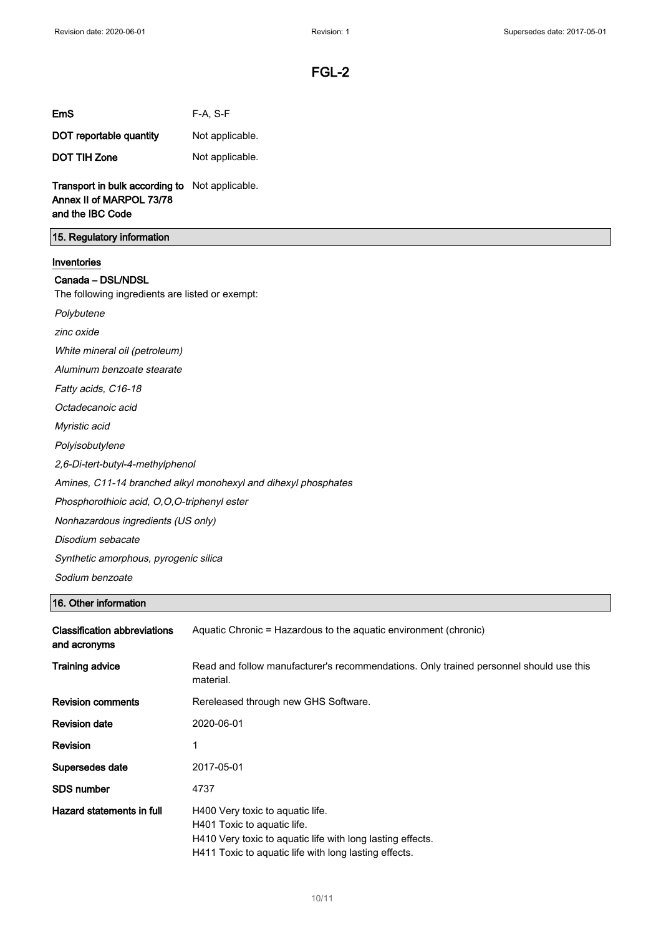| EmS | F-A, S-F |
|-----|----------|
|     |          |

| DOT reportable quantity | Not applicable. |
|-------------------------|-----------------|
| <b>DOT TIH Zone</b>     | Not applicable. |

Transport in bulk according to Not applicable. Annex II of MARPOL 73/78 and the IBC Code

### 15. Regulatory information

#### Inventories

#### Canada – DSL/NDSL

The following ingredients are listed or exempt:

Polybutene

zinc oxide

White mineral oil (petroleum)

Aluminum benzoate stearate

Fatty acids, C16-18

Octadecanoic acid

Myristic acid

Polyisobutylene

2,6-Di-tert-butyl-4-methylphenol

Amines, C11-14 branched alkyl monohexyl and dihexyl phosphates

Phosphorothioic acid, O,O,O-triphenyl ester

Nonhazardous ingredients (US only)

Disodium sebacate

Synthetic amorphous, pyrogenic silica

Sodium benzoate

### 16. Other information

| <b>Classification abbreviations</b><br>and acronyms | Aquatic Chronic = Hazardous to the aquatic environment (chronic)                                                                                                                       |  |
|-----------------------------------------------------|----------------------------------------------------------------------------------------------------------------------------------------------------------------------------------------|--|
| <b>Training advice</b>                              | Read and follow manufacturer's recommendations. Only trained personnel should use this<br>material.                                                                                    |  |
| <b>Revision comments</b>                            | Rereleased through new GHS Software.                                                                                                                                                   |  |
| <b>Revision date</b>                                | 2020-06-01                                                                                                                                                                             |  |
| <b>Revision</b>                                     | 1                                                                                                                                                                                      |  |
| Supersedes date                                     | 2017-05-01                                                                                                                                                                             |  |
| <b>SDS number</b>                                   | 4737                                                                                                                                                                                   |  |
| Hazard statements in full                           | H400 Very toxic to aquatic life.<br>H401 Toxic to aquatic life.<br>H410 Very toxic to aquatic life with long lasting effects.<br>H411 Toxic to aquatic life with long lasting effects. |  |